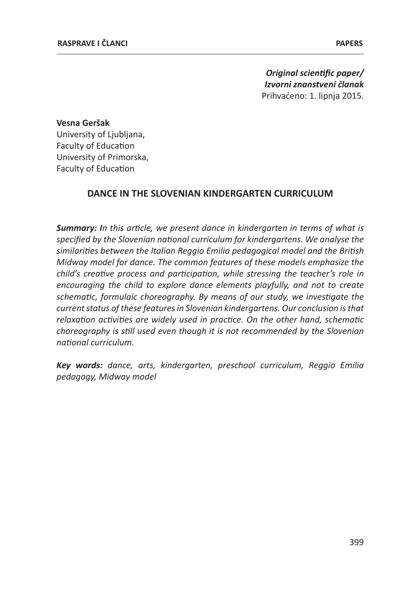*Original scientific paper/ Izvorni znanstveni članak* Prihvaćeno: 1. lipnja 2015.

**Vesna Geršak** University of Liubliana. Faculty of Education University of Primorska, Faculty of Education

# **DANCE IN THE SLOVENIAN KINDERGARTEN CURRICULUM**

*Summary: In this article, we present dance in kindergarten in terms of what is specified by the Slovenian national curriculum for kindergartens. We analyse the similarities between the Italian Reggio Emilia pedagogical model and the British Midway model for dance. The common features of these models emphasize the child's creative process and participation, while stressing the teacher's role in encouraging the child to explore dance elements playfully, and not to create schematic, formulaic choreography. By means of our study, we investigate the current status of these features in Slovenian kindergartens. Our conclusion is that relaxation activities are widely used in practice. On the other hand, schematic choreography is still used even though it is not recommended by the Slovenian national curriculum.*

*Key words: dance, arts, kindergarten, preschool curriculum, Reggio Emilia pedagogy, Midway model*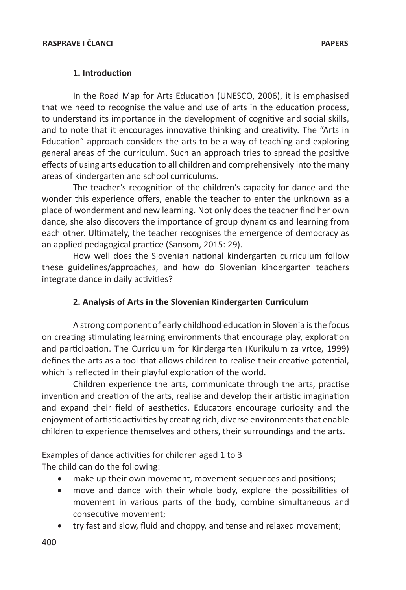## **1. Introduction**

In the Road Map for Arts Education (UNESCO, 2006), it is emphasised that we need to recognise the value and use of arts in the education process, to understand its importance in the development of cognitive and social skills, and to note that it encourages innovative thinking and creativity. The "Arts in Education" approach considers the arts to be a way of teaching and exploring general areas of the curriculum. Such an approach tries to spread the positive effects of using arts education to all children and comprehensively into the many areas of kindergarten and school curriculums.

The teacher's recognition of the children's capacity for dance and the wonder this experience offers, enable the teacher to enter the unknown as a place of wonderment and new learning. Not only does the teacher find her own dance, she also discovers the importance of group dynamics and learning from each other. Ultimately, the teacher recognises the emergence of democracy as an applied pedagogical practice (Sansom, 2015: 29).

How well does the Slovenian national kindergarten curriculum follow these guidelines/approaches, and how do Slovenian kindergarten teachers integrate dance in daily activities?

# **2. Analysis of Arts in the Slovenian Kindergarten Curriculum**

A strong component of early childhood education in Slovenia is the focus on creating stimulating learning environments that encourage play, exploration and participation. The Curriculum for Kindergarten (Kurikulum za vrtce, 1999) defines the arts as a tool that allows children to realise their creative potential, which is reflected in their playful exploration of the world.

Children experience the arts, communicate through the arts, practise invention and creation of the arts, realise and develop their artistic imagination and expand their field of aesthetics. Educators encourage curiosity and the enjoyment of artistic activities by creating rich, diverse environments that enable children to experience themselves and others, their surroundings and the arts.

Examples of dance activities for children aged 1 to 3 The child can do the following:

- make up their own movement, movement sequences and positions;
- move and dance with their whole body, explore the possibilities of movement in various parts of the body, combine simultaneous and consecutive movement;
- try fast and slow, fluid and choppy, and tense and relaxed movement;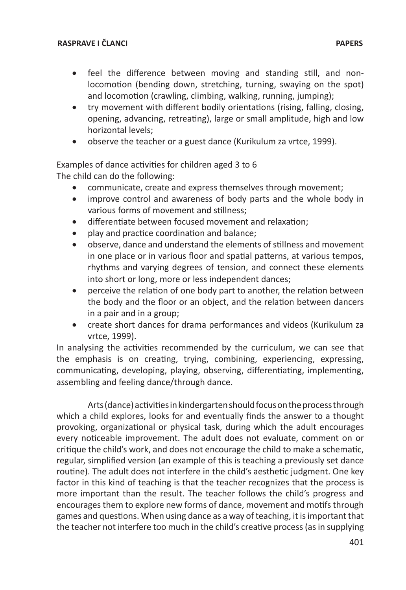- feel the difference between moving and standing still, and nonlocomotion (bending down, stretching, turning, swaying on the spot) and locomotion (crawling, climbing, walking, running, jumping);
- try movement with different bodily orientations (rising, falling, closing, opening, advancing, retreating), large or small amplitude, high and low horizontal levels;
- observe the teacher or a guest dance (Kurikulum za vrtce, 1999).

Examples of dance activities for children aged 3 to 6 The child can do the following:

- communicate, create and express themselves through movement;
- improve control and awareness of body parts and the whole body in various forms of movement and stillness;
- differentiate between focused movement and relaxation:
- play and practice coordination and balance;
- observe, dance and understand the elements of stillness and movement in one place or in various floor and spatial patterns, at various tempos, rhythms and varying degrees of tension, and connect these elements into short or long, more or less independent dances;
- perceive the relation of one body part to another, the relation between the body and the floor or an object, and the relation between dancers in a pair and in a group;
- create short dances for drama performances and videos (Kurikulum za vrtce, 1999).

In analysing the activities recommended by the curriculum, we can see that the emphasis is on creating, trying, combining, experiencing, expressing, communicating, developing, playing, observing, differentiating, implementing, assembling and feeling dance/through dance.

Arts (dance) activities in kindergarten should focus on the process through which a child explores, looks for and eventually finds the answer to a thought provoking, organizational or physical task, during which the adult encourages every noticeable improvement. The adult does not evaluate, comment on or critique the child's work, and does not encourage the child to make a schematic, regular, simplified version (an example of this is teaching a previously set dance routine). The adult does not interfere in the child's aesthetic judgment. One key factor in this kind of teaching is that the teacher recognizes that the process is more important than the result. The teacher follows the child's progress and encourages them to explore new forms of dance, movement and motifs through games and questions. When using dance as a way of teaching, it is important that the teacher not interfere too much in the child's creative process (as in supplying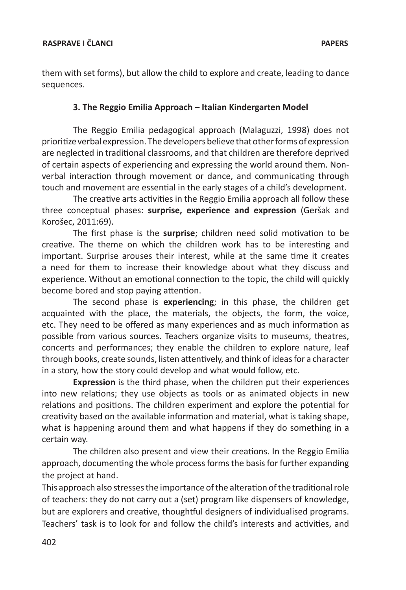them with set forms), but allow the child to explore and create, leading to dance sequences.

#### **3. The Reggio Emilia Approach – Italian Kindergarten Model**

The Reggio Emilia pedagogical approach (Malaguzzi, 1998) does not prioritize verbal expression. The developers believe that other forms of expression are neglected in traditional classrooms, and that children are therefore deprived of certain aspects of experiencing and expressing the world around them. Nonverbal interaction through movement or dance, and communicating through touch and movement are essential in the early stages of a child's development.

The creative arts activities in the Reggio Emilia approach all follow these three conceptual phases: **surprise, experience and expression** (Geršak and Korošec, 2011:69).

The first phase is the **surprise**; children need solid motivation to be creative. The theme on which the children work has to be interesting and important. Surprise arouses their interest, while at the same time it creates a need for them to increase their knowledge about what they discuss and experience. Without an emotional connection to the topic, the child will quickly become bored and stop paying attention.

The second phase is **experiencing**; in this phase, the children get acquainted with the place, the materials, the objects, the form, the voice, etc. They need to be offered as many experiences and as much information as possible from various sources. Teachers organize visits to museums, theatres, concerts and performances; they enable the children to explore nature, leaf through books, create sounds, listen attentively, and think of ideas for a character in a story, how the story could develop and what would follow, etc.

**Expression** is the third phase, when the children put their experiences into new relations; they use objects as tools or as animated objects in new relations and positions. The children experiment and explore the potential for creativity based on the available information and material, what is taking shape, what is happening around them and what happens if they do something in a certain way.

The children also present and view their creations. In the Reggio Emilia approach, documenting the whole process forms the basis for further expanding the project at hand.

This approach also stresses the importance of the alteration of the traditional role of teachers: they do not carry out a (set) program like dispensers of knowledge, but are explorers and creative, thoughtful designers of individualised programs. Teachers' task is to look for and follow the child's interests and activities, and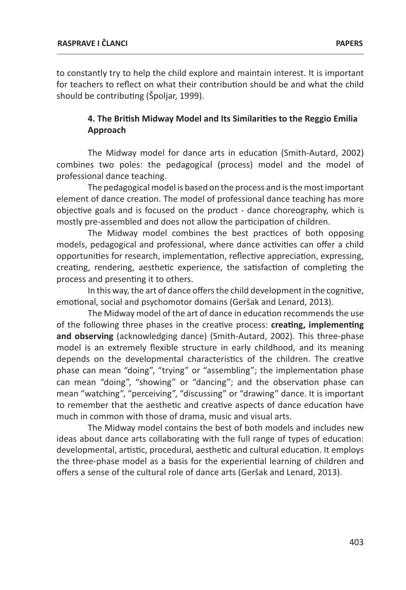to constantly try to help the child explore and maintain interest. It is important for teachers to reflect on what their contribution should be and what the child should be contributing (Špoljar, 1999).

## **4. The British Midway Model and Its Similarities to the Reggio Emilia Approach**

The Midway model for dance arts in education (Smith-Autard, 2002) combines two poles: the pedagogical (process) model and the model of professional dance teaching.

The pedagogical model is based on the process and is the most important element of dance creation. The model of professional dance teaching has more objective goals and is focused on the product - dance choreography, which is mostly pre-assembled and does not allow the participation of children.

The Midway model combines the best practices of both opposing models, pedagogical and professional, where dance activities can offer a child opportunities for research, implementation, reflective appreciation, expressing, creating, rendering, aesthetic experience, the satisfaction of completing the process and presenting it to others.

In this way, the art of dance offers the child development in the cognitive, emotional, social and psychomotor domains (Geršak and Lenard, 2013).

The Midway model of the art of dance in education recommends the use of the following three phases in the creative process: **creating, implementing and observing** (acknowledging dance) (Smith-Autard, 2002). This three-phase model is an extremely flexible structure in early childhood, and its meaning depends on the developmental characteristics of the children. The creative phase can mean "doing", "trying" or "assembling"; the implementation phase can mean "doing", "showing" or "dancing"; and the observation phase can mean "watching", "perceiving", "discussing" or "drawing" dance. It is important to remember that the aesthetic and creative aspects of dance education have much in common with those of drama, music and visual arts.

The Midway model contains the best of both models and includes new ideas about dance arts collaborating with the full range of types of education: developmental, artistic, procedural, aesthetic and cultural education. It employs the three-phase model as a basis for the experiential learning of children and offers a sense of the cultural role of dance arts (Geršak and Lenard, 2013).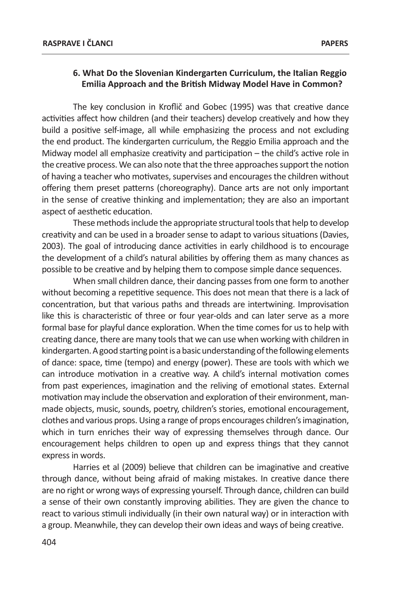## **6. What Do the Slovenian Kindergarten Curriculum, the Italian Reggio Emilia Approach and the British Midway Model Have in Common?**

The key conclusion in Kroflič and Gobec (1995) was that creative dance activities affect how children (and their teachers) develop creatively and how they build a positive self-image, all while emphasizing the process and not excluding the end product. The kindergarten curriculum, the Reggio Emilia approach and the Midway model all emphasize creativity and participation – the child's active role in the creative process. We can also note that the three approaches support the notion of having a teacher who motivates, supervises and encourages the children without offering them preset patterns (choreography). Dance arts are not only important in the sense of creative thinking and implementation; they are also an important aspect of aesthetic education.

These methods include the appropriate structural tools that help to develop creativity and can be used in a broader sense to adapt to various situations (Davies, 2003). The goal of introducing dance activities in early childhood is to encourage the development of a child's natural abilities by offering them as many chances as possible to be creative and by helping them to compose simple dance sequences.

When small children dance, their dancing passes from one form to another without becoming a repetitive sequence. This does not mean that there is a lack of concentration, but that various paths and threads are intertwining. Improvisation like this is characteristic of three or four year-olds and can later serve as a more formal base for playful dance exploration. When the time comes for us to help with creating dance, there are many tools that we can use when working with children in kindergarten. A good starting point is a basic understanding of the following elements of dance: space, time (tempo) and energy (power). These are tools with which we can introduce motivation in a creative way. A child's internal motivation comes from past experiences, imagination and the reliving of emotional states. External motivation may include the observation and exploration of their environment, manmade objects, music, sounds, poetry, children's stories, emotional encouragement, clothes and various props. Using a range of props encourages children's imagination, which in turn enriches their way of expressing themselves through dance. Our encouragement helps children to open up and express things that they cannot express in words.

Harries et al (2009) believe that children can be imaginative and creative through dance, without being afraid of making mistakes. In creative dance there are no right or wrong ways of expressing yourself. Through dance, children can build a sense of their own constantly improving abilities. They are given the chance to react to various stimuli individually (in their own natural way) or in interaction with a group. Meanwhile, they can develop their own ideas and ways of being creative.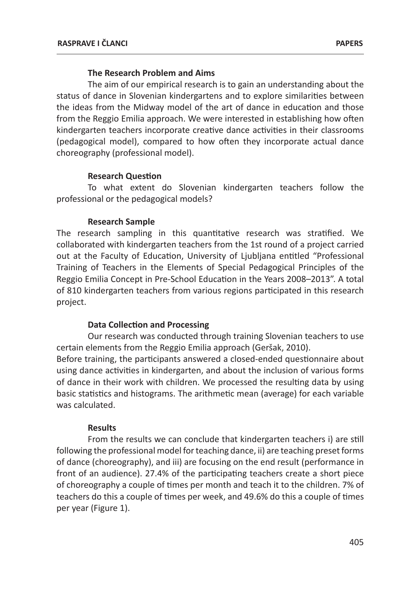### **The Research Problem and Aims**

The aim of our empirical research is to gain an understanding about the status of dance in Slovenian kindergartens and to explore similarities between the ideas from the Midway model of the art of dance in education and those from the Reggio Emilia approach. We were interested in establishing how often kindergarten teachers incorporate creative dance activities in their classrooms (pedagogical model), compared to how often they incorporate actual dance choreography (professional model).

### **Research Question**

To what extent do Slovenian kindergarten teachers follow the professional or the pedagogical models?

### **Research Sample**

The research sampling in this quantitative research was stratified. We collaborated with kindergarten teachers from the 1st round of a project carried out at the Faculty of Education, University of Ljubljana entitled "Professional Training of Teachers in the Elements of Special Pedagogical Principles of the Reggio Emilia Concept in Pre-School Education in the Years 2008–2013". A total of 810 kindergarten teachers from various regions participated in this research project.

## **Data Collection and Processing**

Our research was conducted through training Slovenian teachers to use certain elements from the Reggio Emilia approach (Geršak, 2010). Before training, the participants answered a closed-ended questionnaire about using dance activities in kindergarten, and about the inclusion of various forms of dance in their work with children. We processed the resulting data by using basic statistics and histograms. The arithmetic mean (average) for each variable was calculated.

#### **Results**

From the results we can conclude that kindergarten teachers i) are still following the professional model for teaching dance, ii) are teaching preset forms of dance (choreography), and iii) are focusing on the end result (performance in front of an audience). 27.4% of the participating teachers create a short piece of choreography a couple of times per month and teach it to the children. 7% of teachers do this a couple of times per week, and 49.6% do this a couple of times per year (Figure 1).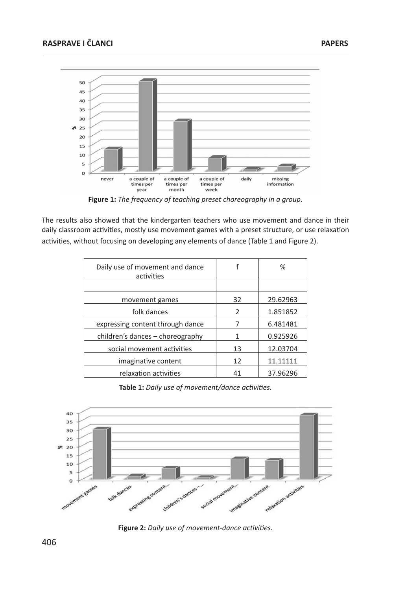

**Figure 1:** *The frequency of teaching preset choreography in a group.*

The results also showed that the kindergarten teachers who use movement and dance in their daily classroom activities, mostly use movement games with a preset structure, or use relaxation activities, without focusing on developing any elements of dance (Table 1 and Figure 2).

| Daily use of movement and dance<br>activities |    | ℅        |
|-----------------------------------------------|----|----------|
|                                               |    |          |
| movement games                                | 32 | 29.62963 |
| folk dances                                   | 2  | 1.851852 |
| expressing content through dance              |    | 6.481481 |
| children's dances – choreography              |    | 0.925926 |
| social movement activities                    | 13 | 12.03704 |
| imaginative content                           | 12 | 11.11111 |
| relaxation activities                         | 41 | 37.96296 |

**Table 1:** *Daily use of movement/dance activities.*



**Figure 2:** *Daily use of movement-dance activities.*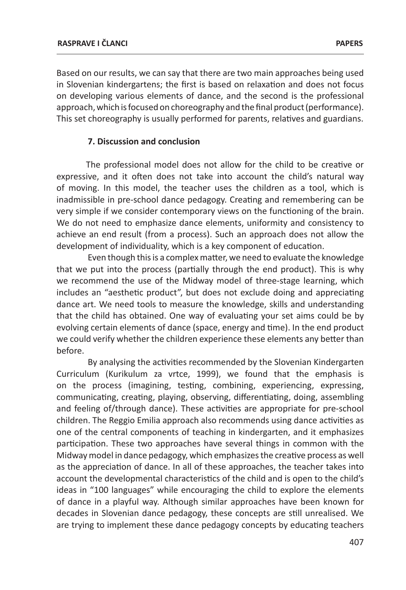Based on our results, we can say that there are two main approaches being used in Slovenian kindergartens; the first is based on relaxation and does not focus on developing various elements of dance, and the second is the professional approach, which is focused on choreography and the final product (performance). This set choreography is usually performed for parents, relatives and guardians.

#### **7. Discussion and conclusion**

The professional model does not allow for the child to be creative or expressive, and it often does not take into account the child's natural way of moving. In this model, the teacher uses the children as a tool, which is inadmissible in pre-school dance pedagogy. Creating and remembering can be very simple if we consider contemporary views on the functioning of the brain. We do not need to emphasize dance elements, uniformity and consistency to achieve an end result (from a process). Such an approach does not allow the development of individuality, which is a key component of education.

Even though this is a complex matter, we need to evaluate the knowledge that we put into the process (partially through the end product). This is why we recommend the use of the Midway model of three-stage learning, which includes an "aesthetic product", but does not exclude doing and appreciating dance art. We need tools to measure the knowledge, skills and understanding that the child has obtained. One way of evaluating your set aims could be by evolving certain elements of dance (space, energy and time). In the end product we could verify whether the children experience these elements any better than before.

By analysing the activities recommended by the Slovenian Kindergarten Curriculum (Kurikulum za vrtce, 1999), we found that the emphasis is on the process (imagining, testing, combining, experiencing, expressing, communicating, creating, playing, observing, differentiating, doing, assembling and feeling of/through dance). These activities are appropriate for pre-school children. The Reggio Emilia approach also recommends using dance activities as one of the central components of teaching in kindergarten, and it emphasizes participation. These two approaches have several things in common with the Midway model in dance pedagogy, which emphasizes the creative process as well as the appreciation of dance. In all of these approaches, the teacher takes into account the developmental characteristics of the child and is open to the child's ideas in "100 languages" while encouraging the child to explore the elements of dance in a playful way. Although similar approaches have been known for decades in Slovenian dance pedagogy, these concepts are still unrealised. We are trying to implement these dance pedagogy concepts by educating teachers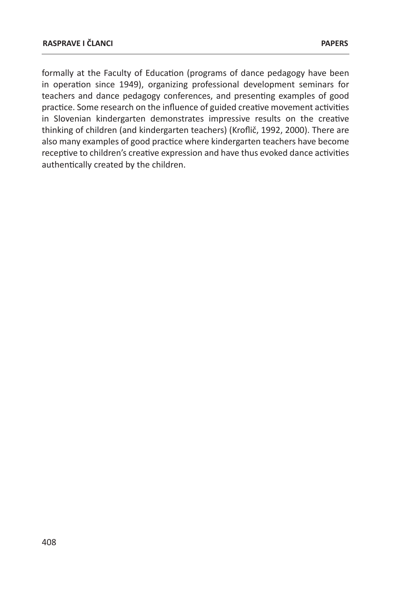formally at the Faculty of Education (programs of dance pedagogy have been in operation since 1949), organizing professional development seminars for teachers and dance pedagogy conferences, and presenting examples of good practice. Some research on the influence of guided creative movement activities in Slovenian kindergarten demonstrates impressive results on the creative thinking of children (and kindergarten teachers) (Kroflič, 1992, 2000). There are also many examples of good practice where kindergarten teachers have become receptive to children's creative expression and have thus evoked dance activities authentically created by the children.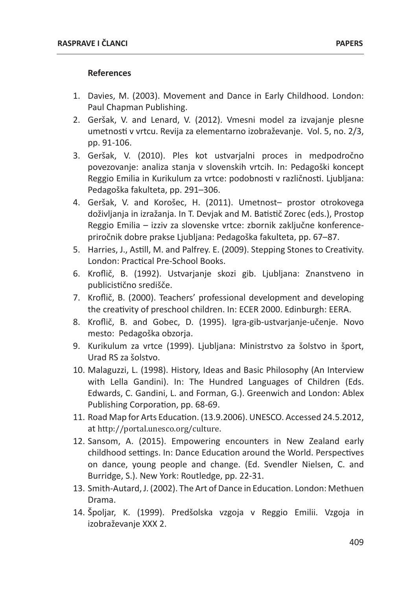#### **References**

- 1. Davies, M. (2003). Movement and Dance in Early Childhood. London: Paul Chapman Publishing.
- 2. Geršak, V. and Lenard, V. (2012). Vmesni model za izvajanje plesne umetnosti v vrtcu. Revija za elementarno izobraževanje. Vol. 5, no. 2/3, pp. 91-106.
- 3. Geršak, V. (2010). Ples kot ustvarjalni proces in medpodročno povezovanje: analiza stanja v slovenskih vrtcih. In: Pedagoški koncept Reggio Emilia in Kurikulum za vrtce: podobnosti v različnosti. Ljubljana: Pedagoška fakulteta, pp. 291–306.
- 4. Geršak, V. and Korošec, H. (2011). Umetnost– prostor otrokovega doživljanja in izražanja. In T. Devjak and M. Batistič Zorec (eds.), Prostop Reggio Emilia – izziv za slovenske vrtce: zbornik zaključne konferencepriročnik dobre prakse Ljubljana: Pedagoška fakulteta, pp. 67–87.
- 5. Harries, J., Astill, M. and Palfrey. E. (2009). Stepping Stones to Creativity. London: Practical Pre-School Books.
- 6. Kroflič, B. (1992). Ustvarjanje skozi gib. Ljubljana: Znanstveno in publicistično središče.
- 7. Kroflič, B. (2000). Teachers' professional development and developing the creativity of preschool children. In: ECER 2000. Edinburgh: EERA.
- 8. Kroflič, B. and Gobec, D. (1995). Igra-gib-ustvarjanje-učenje. Novo mesto: Pedagoška obzorja.
- 9. Kurikulum za vrtce (1999). Ljubljana: Ministrstvo za šolstvo in šport, Urad RS za šolstvo.
- 10. Malaguzzi, L. (1998). History, Ideas and Basic Philosophy (An Interview with Lella Gandini). In: The Hundred Languages of Children (Eds. Edwards, C. Gandini, L. and Forman, G.). Greenwich and London: Ablex Publishing Corporation, pp. 68-69.
- 11. Road Map for Arts Education. (13.9.2006). UNESCO. Accessed 24.5.2012, at http://portal.unesco.org/culture.
- 12. Sansom, A. (2015). Empowering encounters in New Zealand early childhood settings. In: Dance Education around the World. Perspectives on dance, young people and change. (Ed. Svendler Nielsen, C. and Burridge, S.). New York: Routledge, pp. 22-31.
- 13. Smith-Autard, J. (2002). The Art of Dance in Education. London: Methuen Drama.
- 14. Špoljar, K. (1999). Predšolska vzgoja v Reggio Emilii. Vzgoja in izobraževanje XXX 2.